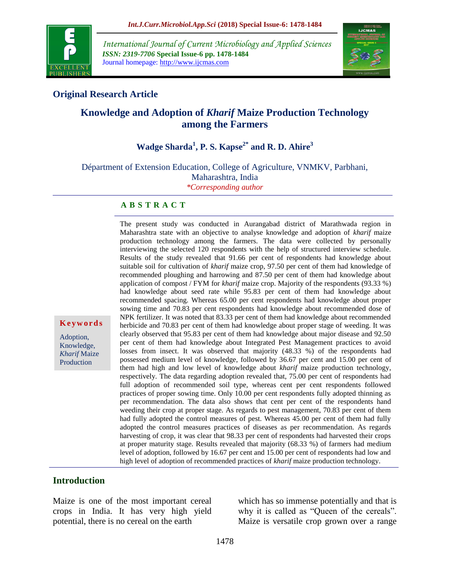

*International Journal of Current Microbiology and Applied Sciences ISSN: 2319-7706* **Special Issue-6 pp. 1478-1484** Journal homepage: http://www.ijcmas.com



## **Original Research Article**

# **Knowledge and Adoption of** *Kharif* **Maize Production Technology among the Farmers**

# **Wadge Sharda<sup>1</sup> , P. S. Kapse2\* and R. D. Ahire<sup>3</sup>**

Départment of Extension Education, College of Agriculture, VNMKV, Parbhani, Maharashtra, India

*\*Corresponding author*

#### **A B S T R A C T**

The present study was conducted in Aurangabad district of Marathwada region in Maharashtra state with an objective to analyse knowledge and adoption of *kharif* maize production technology among the farmers. The data were collected by personally interviewing the selected 120 respondents with the help of structured interview schedule. Results of the study revealed that 91.66 per cent of respondents had knowledge about suitable soil for cultivation of *kharif* maize crop, 97.50 per cent of them had knowledge of recommended ploughing and harrowing and 87.50 per cent of them had knowledge about application of compost / FYM for *kharif* maize crop. Majority of the respondents (93.33 %) had knowledge about seed rate while 95.83 per cent of them had knowledge about recommended spacing. Whereas 65.00 per cent respondents had knowledge about proper sowing time and 70.83 per cent respondents had knowledge about recommended dose of NPK fertilizer. It was noted that 83.33 per cent of them had knowledge about recommended herbicide and 70.83 per cent of them had knowledge about proper stage of weeding. It was clearly observed that 95.83 per cent of them had knowledge about major disease and 92.50 per cent of them had knowledge about Integrated Pest Management practices to avoid losses from insect. It was observed that majority (48.33 %) of the respondents had possessed medium level of knowledge, followed by 36.67 per cent and 15.00 per cent of them had high and low level of knowledge about *kharif* maize production technology, respectively. The data regarding adoption revealed that, 75.00 per cent of respondents had full adoption of recommended soil type, whereas cent per cent respondents followed practices of proper sowing time. Only 10.00 per cent respondents fully adopted thinning as per recommendation. The data also shows that cent per cent of the respondents hand weeding their crop at proper stage. As regards to pest management, 70.83 per cent of them had fully adopted the control measures of pest. Whereas 45.00 per cent of them had fully adopted the control measures practices of diseases as per recommendation. As regards harvesting of crop, it was clear that 98.33 per cent of respondents had harvested their crops at proper maturity stage. Results revealed that majority (68.33 %) of farmers had medium level of adoption, followed by 16.67 per cent and 15.00 per cent of respondents had low and high level of adoption of recommended practices of *kharif* maize production technology.

#### **Introduction**

**K e y w o r d s**

Adoption, Knowledge, *Kharif* Maize Production

Maize is one of the most important cereal crops in India. It has very high yield potential, there is no cereal on the earth

which has so immense potentially and that is why it is called as "Queen of the cereals". Maize is versatile crop grown over a range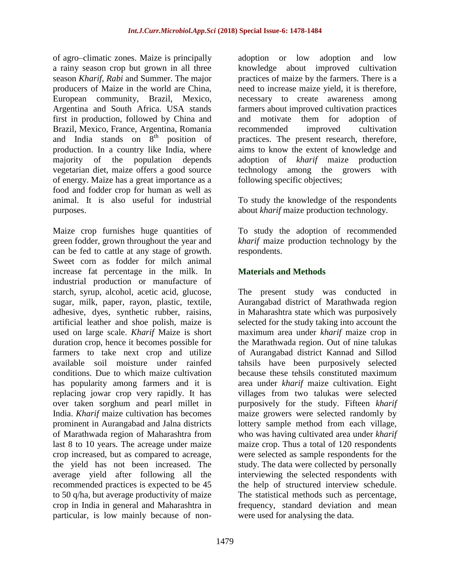of agro–climatic zones. Maize is principally a rainy season crop but grown in all three season *Kharif*, *Rabi* and Summer. The major producers of Maize in the world are China, European community, Brazil, Mexico, Argentina and South Africa. USA stands first in production, followed by China and Brazil, Mexico, France, Argentina, Romania and India stands on  $8<sup>th</sup>$  position of production. In a country like India, where majority of the population depends vegetarian diet, maize offers a good source of energy. Maize has a great importance as a food and fodder crop for human as well as animal. It is also useful for industrial purposes.

Maize crop furnishes huge quantities of green fodder, grown throughout the year and can be fed to cattle at any stage of growth. Sweet corn as fodder for milch animal increase fat percentage in the milk. In industrial production or manufacture of starch, syrup, alcohol, acetic acid, glucose, sugar, milk, paper, rayon, plastic, textile, adhesive, dyes, synthetic rubber, raisins, artificial leather and shoe polish, maize is used on large scale. *Kharif* Maize is short duration crop, hence it becomes possible for farmers to take next crop and utilize available soil moisture under rainfed conditions. Due to which maize cultivation has popularity among farmers and it is replacing jowar crop very rapidly. It has over taken sorghum and pearl millet in India. *Kharif* maize cultivation has becomes prominent in Aurangabad and Jalna districts of Marathwada region of Maharashtra from last 8 to 10 years. The acreage under maize crop increased, but as compared to acreage, the yield has not been increased. The average yield after following all the recommended practices is expected to be 45 to 50 q/ha, but average productivity of maize crop in India in general and Maharashtra in particular, is low mainly because of nonadoption or low adoption and low knowledge about improved cultivation practices of maize by the farmers. There is a need to increase maize yield, it is therefore, necessary to create awareness among farmers about improved cultivation practices and motivate them for adoption of recommended improved cultivation practices. The present research, therefore, aims to know the extent of knowledge and adoption of *kharif* maize production technology among the growers with following specific objectives;

To study the knowledge of the respondents about *kharif* maize production technology.

To study the adoption of recommended *kharif* maize production technology by the respondents.

## **Materials and Methods**

The present study was conducted in Aurangabad district of Marathwada region in Maharashtra state which was purposively selected for the study taking into account the maximum area under *kharif* maize crop in the Marathwada region. Out of nine talukas of Aurangabad district Kannad and Sillod tahsils have been purposively selected because these tehsils constituted maximum area under *kharif* maize cultivation. Eight villages from two talukas were selected purposively for the study. Fifteen *kharif* maize growers were selected randomly by lottery sample method from each village, who was having cultivated area under *kharif* maize crop. Thus a total of 120 respondents were selected as sample respondents for the study. The data were collected by personally interviewing the selected respondents with the help of structured interview schedule. The statistical methods such as percentage, frequency, standard deviation and mean were used for analysing the data.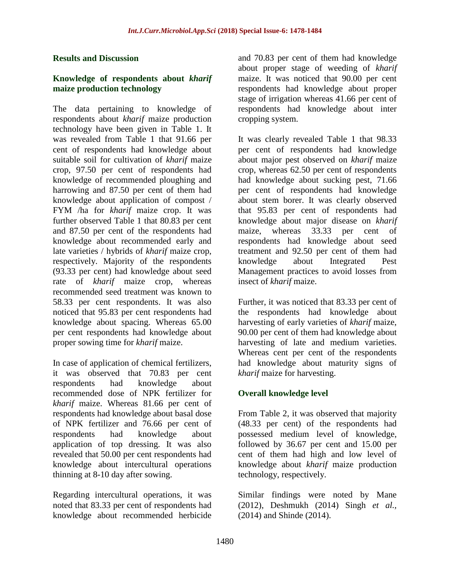#### **Results and Discussion**

### **Knowledge of respondents about** *kharif*  **maize production technology**

The data pertaining to knowledge of respondents about *kharif* maize production technology have been given in Table 1. It was revealed from Table 1 that 91.66 per cent of respondents had knowledge about suitable soil for cultivation of *kharif* maize crop, 97.50 per cent of respondents had knowledge of recommended ploughing and harrowing and 87.50 per cent of them had knowledge about application of compost / FYM /ha for *kharif* maize crop. It was further observed Table 1 that 80.83 per cent and 87.50 per cent of the respondents had knowledge about recommended early and late varieties / hybrids of *kharif* maize crop, respectively. Majority of the respondents (93.33 per cent) had knowledge about seed rate of *kharif* maize crop, whereas recommended seed treatment was known to 58.33 per cent respondents. It was also noticed that 95.83 per cent respondents had knowledge about spacing. Whereas 65.00 per cent respondents had knowledge about proper sowing time for *kharif* maize.

In case of application of chemical fertilizers, it was observed that 70.83 per cent respondents had knowledge about recommended dose of NPK fertilizer for *kharif* maize. Whereas 81.66 per cent of respondents had knowledge about basal dose of NPK fertilizer and 76.66 per cent of respondents had knowledge about application of top dressing. It was also revealed that 50.00 per cent respondents had knowledge about intercultural operations thinning at 8-10 day after sowing.

Regarding intercultural operations, it was noted that 83.33 per cent of respondents had knowledge about recommended herbicide and 70.83 per cent of them had knowledge about proper stage of weeding of *kharif*  maize. It was noticed that 90.00 per cent respondents had knowledge about proper stage of irrigation whereas 41.66 per cent of respondents had knowledge about inter cropping system.

It was clearly revealed Table 1 that 98.33 per cent of respondents had knowledge about major pest observed on *kharif* maize crop, whereas 62.50 per cent of respondents had knowledge about sucking pest, 71.66 per cent of respondents had knowledge about stem borer. It was clearly observed that 95.83 per cent of respondents had knowledge about major disease on *kharif* maize, whereas 33.33 per cent of respondents had knowledge about seed treatment and 92.50 per cent of them had knowledge about Integrated Pest Management practices to avoid losses from insect of *kharif* maize.

Further, it was noticed that 83.33 per cent of the respondents had knowledge about harvesting of early varieties of *kharif* maize, 90.00 per cent of them had knowledge about harvesting of late and medium varieties. Whereas cent per cent of the respondents had knowledge about maturity signs of *kharif* maize for harvesting.

## **Overall knowledge level**

From Table 2, it was observed that majority (48.33 per cent) of the respondents had possessed medium level of knowledge, followed by 36.67 per cent and 15.00 per cent of them had high and low level of knowledge about *kharif* maize production technology, respectively.

Similar findings were noted by Mane (2012), Deshmukh (2014) Singh *et al.,*  (2014) and Shinde (2014).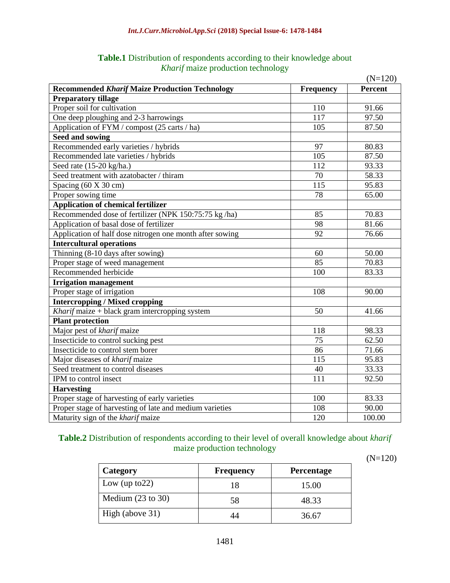|                                                          |                  | $(N=120)$ |  |
|----------------------------------------------------------|------------------|-----------|--|
| <b>Recommended Kharif Maize Production Technology</b>    | <b>Frequency</b> | Percent   |  |
| <b>Preparatory tillage</b>                               |                  |           |  |
| Proper soil for cultivation                              | 110              | 91.66     |  |
| One deep ploughing and 2-3 harrowings                    | 117              | 97.50     |  |
| Application of FYM / compost (25 carts / ha)             | 105              | 87.50     |  |
| Seed and sowing                                          |                  |           |  |
| Recommended early varieties / hybrids                    | 97               | 80.83     |  |
| Recommended late varieties / hybrids                     | 105              | 87.50     |  |
| Seed rate (15-20 kg/ha.)                                 | 112              | 93.33     |  |
| Seed treatment with azatobacter / thiram                 | 70               | 58.33     |  |
| Spacing (60 X 30 cm)                                     | 115              | 95.83     |  |
| Proper sowing time                                       | 78               | 65.00     |  |
| <b>Application of chemical fertilizer</b>                |                  |           |  |
| Recommended dose of fertilizer (NPK 150:75:75 kg/ha)     | 85               | 70.83     |  |
| Application of basal dose of fertilizer                  | 98               | 81.66     |  |
| Application of half dose nitrogen one month after sowing | 92               | 76.66     |  |
| <b>Intercultural operations</b>                          |                  |           |  |
| Thinning (8-10 days after sowing)                        | 60               | 50.00     |  |
| Proper stage of weed management                          | 85               | 70.83     |  |
| Recommended herbicide                                    | 100              | 83.33     |  |
| <b>Irrigation management</b>                             |                  |           |  |
| Proper stage of irrigation                               | 108              | 90.00     |  |
| <b>Intercropping / Mixed cropping</b>                    |                  |           |  |
| Kharif maize + black gram intercropping system           | 50               | 41.66     |  |
| <b>Plant protection</b>                                  |                  |           |  |
| Major pest of kharif maize                               | 118              | 98.33     |  |
| Insecticide to control sucking pest                      | 75               | 62.50     |  |
| Insecticide to control stem borer                        | 86               | 71.66     |  |
| Major diseases of kharif maize                           | 115              | 95.83     |  |
| Seed treatment to control diseases                       | 40               | 33.33     |  |
| IPM to control insect                                    | 111              | 92.50     |  |
| <b>Harvesting</b>                                        |                  |           |  |
| Proper stage of harvesting of early varieties            | 100              | 83.33     |  |
| Proper stage of harvesting of late and medium varieties  | 108              | 90.00     |  |
| Maturity sign of the kharif maize                        | 120              | 100.00    |  |

**Table.1** Distribution of respondents according to their knowledge about *Kharif* maize production technology

**Table.2** Distribution of respondents according to their level of overall knowledge about *kharif*  maize production technology

(N=120)

| Category                     | <b>Frequency</b> | <b>Percentage</b> |
|------------------------------|------------------|-------------------|
| Low (up to $22$ )            | 18               | 15.00             |
| Medium $(23 \text{ to } 30)$ | 58               | 48.33             |
| High (above 31)              |                  | 36.67             |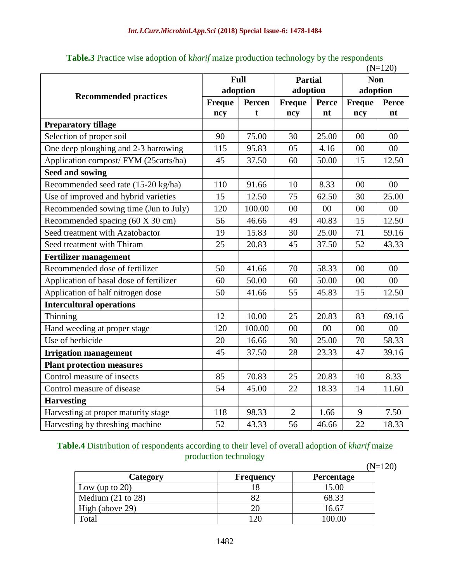|                                         |             |        |                |              |               | $(N=120)$    |
|-----------------------------------------|-------------|--------|----------------|--------------|---------------|--------------|
|                                         | <b>Full</b> |        | <b>Partial</b> |              | <b>Non</b>    |              |
| <b>Recommended practices</b>            | adoption    |        | adoption       |              | adoption      |              |
|                                         | Freque      | Percen | <b>Freque</b>  | <b>Perce</b> | <b>Freque</b> | <b>Perce</b> |
|                                         | ncy         | t      | ncy            | nt           | ncy           | nt           |
| <b>Preparatory tillage</b>              |             |        |                |              |               |              |
| Selection of proper soil                | 90          | 75.00  | 30             | 25.00        | 00            | 00           |
| One deep ploughing and 2-3 harrowing    | 115         | 95.83  | 05             | 4.16         | 00            | 00           |
| Application compost/ FYM (25carts/ha)   | 45          | 37.50  | 60             | 50.00        | 15            | 12.50        |
| <b>Seed and sowing</b>                  |             |        |                |              |               |              |
| Recommended seed rate (15-20 kg/ha)     | 110         | 91.66  | 10             | 8.33         | 00            | 00           |
| Use of improved and hybrid varieties    | 15          | 12.50  | 75             | 62.50        | 30            | 25.00        |
| Recommended sowing time (Jun to July)   | 120         | 100.00 | 00             | 00           | 00            | 00           |
| Recommended spacing (60 X 30 cm)        | 56          | 46.66  | 49             | 40.83        | 15            | 12.50        |
| Seed treatment with Azatobactor         | 19          | 15.83  | 30             | 25.00        | 71            | 59.16        |
| Seed treatment with Thiram              | 25          | 20.83  | 45             | 37.50        | 52            | 43.33        |
| <b>Fertilizer management</b>            |             |        |                |              |               |              |
| Recommended dose of fertilizer          | 50          | 41.66  | 70             | 58.33        | 00            | $00\,$       |
| Application of basal dose of fertilizer | 60          | 50.00  | 60             | 50.00        | 00            | $00\,$       |
| Application of half nitrogen dose       | 50          | 41.66  | 55             | 45.83        | 15            | 12.50        |
| <b>Intercultural operations</b>         |             |        |                |              |               |              |
| Thinning                                | 12          | 10.00  | 25             | 20.83        | 83            | 69.16        |
| Hand weeding at proper stage            | 120         | 100.00 | 00             | 00           | 00            | 00           |
| Use of herbicide                        | 20          | 16.66  | 30             | 25.00        | 70            | 58.33        |
| <b>Irrigation management</b>            | 45          | 37.50  | 28             | 23.33        | 47            | 39.16        |
| <b>Plant protection measures</b>        |             |        |                |              |               |              |
| Control measure of insects              | 85          | 70.83  | 25             | 20.83        | 10            | 8.33         |
| Control measure of disease              | 54          | 45.00  | 22             | 18.33        | 14            | 11.60        |
| <b>Harvesting</b>                       |             |        |                |              |               |              |
| Harvesting at proper maturity stage     | 118         | 98.33  | $\overline{2}$ | 1.66         | 9             | 7.50         |
| Harvesting by threshing machine         | 52          | 43.33  | 56             | 46.66        | 22            | 18.33        |

**Table.3** Practice wise adoption of k*harif* maize production technology by the respondents

**Table.4** Distribution of respondents according to their level of overall adoption of *kharif* maize production technology

|                              |                  | $(N=120)$         |  |
|------------------------------|------------------|-------------------|--|
| Category                     | <b>Frequency</b> | <b>Percentage</b> |  |
| Low (up to $20$ )            |                  | 15.00             |  |
| Medium $(21 \text{ to } 28)$ |                  | 68.33             |  |
| High (above 29)              |                  | 16.67             |  |
| Total                        | 20               | 100.00            |  |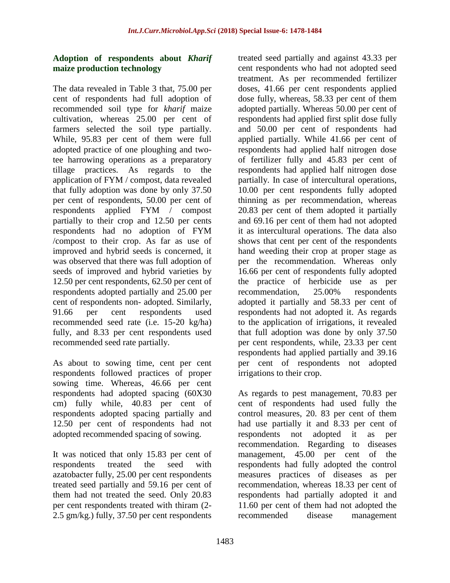### **Adoption of respondents about** *Kharif* **maize production technology**

The data revealed in Table 3 that, 75.00 per cent of respondents had full adoption of recommended soil type for *kharif* maize cultivation, whereas 25.00 per cent of farmers selected the soil type partially. While, 95.83 per cent of them were full adopted practice of one ploughing and twotee harrowing operations as a preparatory tillage practices. As regards to the application of FYM / compost, data revealed that fully adoption was done by only 37.50 per cent of respondents, 50.00 per cent of respondents applied FYM / compost partially to their crop and 12.50 per cents respondents had no adoption of FYM /compost to their crop. As far as use of improved and hybrid seeds is concerned, it was observed that there was full adoption of seeds of improved and hybrid varieties by 12.50 per cent respondents, 62.50 per cent of respondents adopted partially and 25.00 per cent of respondents non- adopted. Similarly, 91.66 per cent respondents used recommended seed rate (i.e. 15-20 kg/ha) fully, and 8.33 per cent respondents used recommended seed rate partially.

As about to sowing time, cent per cent respondents followed practices of proper sowing time. Whereas, 46.66 per cent respondents had adopted spacing (60X30 cm) fully while, 40.83 per cent of respondents adopted spacing partially and 12.50 per cent of respondents had not adopted recommended spacing of sowing.

It was noticed that only 15.83 per cent of respondents treated the seed with azatobacter fully, 25.00 per cent respondents treated seed partially and 59.16 per cent of them had not treated the seed. Only 20.83 per cent respondents treated with thiram (2- 2.5 gm/kg.) fully, 37.50 per cent respondents

treated seed partially and against 43.33 per cent respondents who had not adopted seed treatment. As per recommended fertilizer doses, 41.66 per cent respondents applied dose fully, whereas, 58.33 per cent of them adopted partially. Whereas 50.00 per cent of respondents had applied first split dose fully and 50.00 per cent of respondents had applied partially. While 41.66 per cent of respondents had applied half nitrogen dose of fertilizer fully and 45.83 per cent of respondents had applied half nitrogen dose partially. In case of intercultural operations, 10.00 per cent respondents fully adopted thinning as per recommendation, whereas 20.83 per cent of them adopted it partially and 69.16 per cent of them had not adopted it as intercultural operations. The data also shows that cent per cent of the respondents hand weeding their crop at proper stage as per the recommendation. Whereas only 16.66 per cent of respondents fully adopted the practice of herbicide use as per recommendation, 25.00% respondents adopted it partially and 58.33 per cent of respondents had not adopted it. As regards to the application of irrigations, it revealed that full adoption was done by only 37.50 per cent respondents, while, 23.33 per cent respondents had applied partially and 39.16 per cent of respondents not adopted irrigations to their crop.

As regards to pest management, 70.83 per cent of respondents had used fully the control measures, 20. 83 per cent of them had use partially it and 8.33 per cent of respondents not adopted it as per recommendation. Regarding to diseases management, 45.00 per cent of the respondents had fully adopted the control measures practices of diseases as per recommendation, whereas 18.33 per cent of respondents had partially adopted it and 11.60 per cent of them had not adopted the recommended disease management